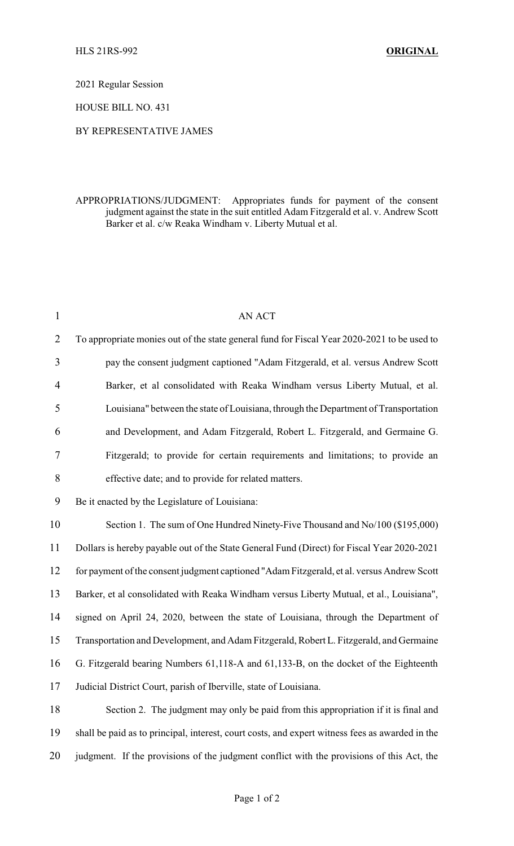2021 Regular Session

HOUSE BILL NO. 431

## BY REPRESENTATIVE JAMES

## APPROPRIATIONS/JUDGMENT: Appropriates funds for payment of the consent judgment against the state in the suit entitled Adam Fitzgerald et al. v. Andrew Scott Barker et al. c/w Reaka Windham v. Liberty Mutual et al.

| $\mathbf{1}$   | AN ACT                                                                                          |
|----------------|-------------------------------------------------------------------------------------------------|
| $\overline{2}$ | To appropriate monies out of the state general fund for Fiscal Year 2020-2021 to be used to     |
| 3              | pay the consent judgment captioned "Adam Fitzgerald, et al. versus Andrew Scott                 |
| $\overline{4}$ | Barker, et al consolidated with Reaka Windham versus Liberty Mutual, et al.                     |
| 5              | Louisiana" between the state of Louisiana, through the Department of Transportation             |
| 6              | and Development, and Adam Fitzgerald, Robert L. Fitzgerald, and Germaine G.                     |
| 7              | Fitzgerald; to provide for certain requirements and limitations; to provide an                  |
| $8\,$          | effective date; and to provide for related matters.                                             |
| 9              | Be it enacted by the Legislature of Louisiana:                                                  |
| 10             | Section 1. The sum of One Hundred Ninety-Five Thousand and No/100 (\$195,000)                   |
| 11             | Dollars is hereby payable out of the State General Fund (Direct) for Fiscal Year 2020-2021      |
| 12             | for payment of the consent judgment captioned "Adam Fitzgerald, et al. versus Andrew Scott      |
| 13             | Barker, et al consolidated with Reaka Windham versus Liberty Mutual, et al., Louisiana",        |
| 14             | signed on April 24, 2020, between the state of Louisiana, through the Department of             |
| 15             | Transportation and Development, and Adam Fitzgerald, Robert L. Fitzgerald, and Germaine         |
| 16             | G. Fitzgerald bearing Numbers 61,118-A and 61,133-B, on the docket of the Eighteenth            |
| 17             | Judicial District Court, parish of Iberville, state of Louisiana.                               |
| 18             | Section 2. The judgment may only be paid from this appropriation if it is final and             |
| 19             | shall be paid as to principal, interest, court costs, and expert witness fees as awarded in the |
| 20             | judgment. If the provisions of the judgment conflict with the provisions of this Act, the       |